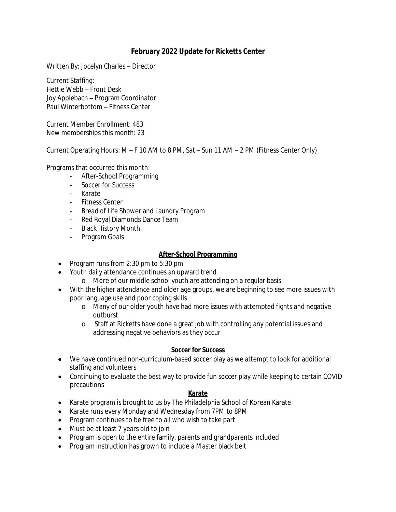## **February 2022 Update for Ricketts Center**

Written By: Jocelyn Charles – Director

Current Staffing: Hettie Webb – Front Desk Joy Applebach – Program Coordinator Paul Winterbottom – Fitness Center

Current Member Enrollment: 483 New memberships this month: 23

Current Operating Hours: M – F 10 AM to 8 PM, Sat – Sun 11 AM – 2 PM (Fitness Center Only)

Programs that occurred this month:

- After-School Programming
- Soccer for Success
- Karate
- Fitness Center
- *Bread of Life* Shower and Laundry Program
- Red Royal Diamonds Dance Team
- Black History Month
- Program Goals

### **After-School Programming**

- Program runs from  $2:30$  pm to  $5:30$  pm
- Youth daily attendance continues an upward trend
	- o More of our middle school youth are attending on a regular basis
- With the higher attendance and older age groups, we are beginning to see more issues with poor language use and poor coping skills
	- o Many of our older youth have had more issues with attempted fights and negative outburst
	- o Staff at Ricketts have done a great job with controlling any potential issues and addressing negative behaviors as they occur

#### **Soccer for Success**

- We have continued non-curriculum-based soccer play as we attempt to look for additional staffing and volunteers
- Continuing to evaluate the best way to provide fun soccer play while keeping to certain COVID precautions

### **Karate**

- Karate program is brought to us by The Philadelphia School of Korean Karate
- Karate runs every Monday and Wednesday from 7PM to 8PM
- Program continues to be free to all who wish to take part
- Must be at least 7 years old to join
- Program is open to the entire family, parents and grandparents included
- Program instruction has grown to include a Master black belt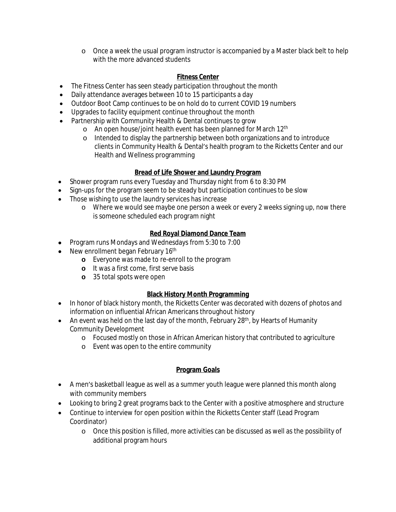o Once a week the usual program instructor is accompanied by a Master black belt to help with the more advanced students

## **Fitness Center**

- The Fitness Center has seen steady participation throughout the month
- Daily attendance averages between 10 to 15 participants a day
- Outdoor Boot Camp continues to be on hold do to current COVID 19 numbers
- Upgrades to facility equipment continue throughout the month
- Partnership with Community Health & Dental continues to grow
	- o An open house/joint health event has been planned for March 12th
	- o Intended to display the partnership between both organizations and to introduce clients in Community Health & Dental's health program to the Ricketts Center and our Health and Wellness programming

## **Bread of Life Shower and Laundry Program**

- Shower program runs every Tuesday and Thursday night from 6 to 8:30 PM
- Sign-ups for the program seem to be steady but participation continues to be slow
- Those wishing to use the laundry services has increase
	- o Where we would see maybe one person a week or every 2 weeks signing up, now there is someone scheduled each program night

## **Red Royal Diamond Dance Team**

- Program runs Mondays and Wednesdays from 5:30 to 7:00
- New enrollment began February 16<sup>th</sup>
	- **o** Everyone was made to re-enroll to the program
	- **o** It was a first come, first serve basis
	- **o** 35 total spots were open

## **Black History Month Programming**

- In honor of black history month, the Ricketts Center was decorated with dozens of photos and information on influential African Americans throughout history
- An event was held on the last day of the month, February 28<sup>th</sup>, by Hearts of Humanity Community Development
	- o Focused mostly on those in African American history that contributed to agriculture
	- o Event was open to the entire community

# **Program Goals**

- A men's basketball league as well as a summer youth league were planned this month along with community members
- Looking to bring 2 great programs back to the Center with a positive atmosphere and structure
- Continue to interview for open position within the Ricketts Center staff (Lead Program Coordinator)
	- o Once this position is filled, more activities can be discussed as well as the possibility of additional program hours